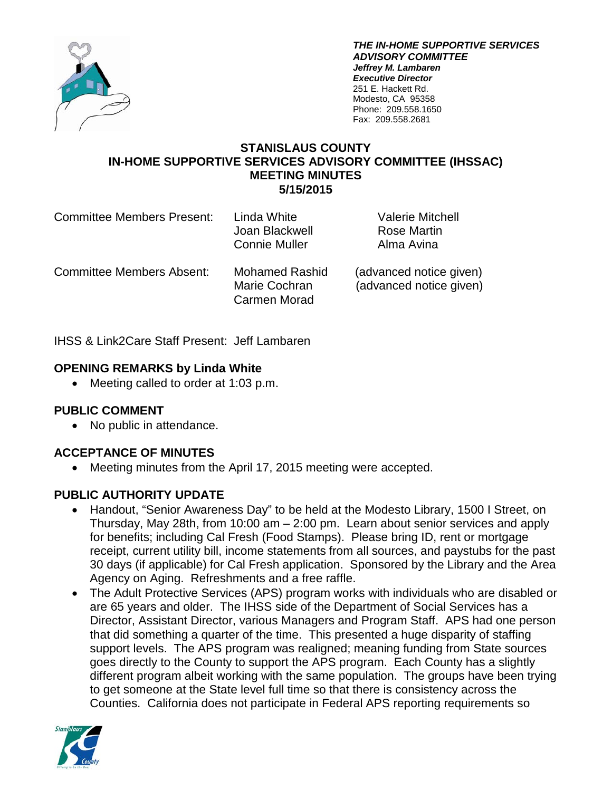

*THE IN-HOME SUPPORTIVE SERVICES ADVISORY COMMITTEE Jeffrey M. Lambaren Executive Director* 251 E. Hackett Rd. Modesto, CA 95358 Phone: 209.558.1650 Fax: 209.558.2681

### **STANISLAUS COUNTY IN-HOME SUPPORTIVE SERVICES ADVISORY COMMITTEE (IHSSAC) MEETING MINUTES 5/15/2015**

| <b>Committee Members Present:</b> | Linda White<br>Joan Blackwell<br><b>Connie Muller</b>  | <b>Valerie Mitchell</b><br>Rose Martin<br>Alma Avina |
|-----------------------------------|--------------------------------------------------------|------------------------------------------------------|
| <b>Committee Members Absent:</b>  | <b>Mohamed Rashid</b><br>Marie Cochran<br>Carmen Morad | (advanced notice given)<br>(advanced notice given)   |

IHSS & Link2Care Staff Present: Jeff Lambaren

## **OPENING REMARKS by Linda White**

• Meeting called to order at 1:03 p.m.

## **PUBLIC COMMENT**

• No public in attendance.

## **ACCEPTANCE OF MINUTES**

• Meeting minutes from the April 17, 2015 meeting were accepted.

## **PUBLIC AUTHORITY UPDATE**

- Handout, "Senior Awareness Day" to be held at the Modesto Library, 1500 I Street, on Thursday, May 28th, from 10:00 am – 2:00 pm. Learn about senior services and apply for benefits; including Cal Fresh (Food Stamps). Please bring ID, rent or mortgage receipt, current utility bill, income statements from all sources, and paystubs for the past 30 days (if applicable) for Cal Fresh application. Sponsored by the Library and the Area Agency on Aging. Refreshments and a free raffle.
- The Adult Protective Services (APS) program works with individuals who are disabled or are 65 years and older. The IHSS side of the Department of Social Services has a Director, Assistant Director, various Managers and Program Staff. APS had one person that did something a quarter of the time. This presented a huge disparity of staffing support levels. The APS program was realigned; meaning funding from State sources goes directly to the County to support the APS program. Each County has a slightly different program albeit working with the same population. The groups have been trying to get someone at the State level full time so that there is consistency across the Counties. California does not participate in Federal APS reporting requirements so

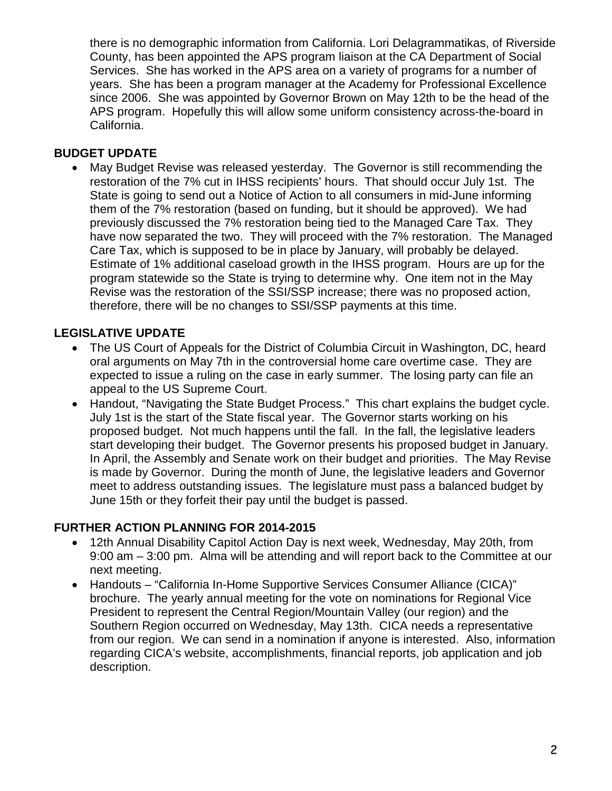there is no demographic information from California. Lori Delagrammatikas, of Riverside County, has been appointed the APS program liaison at the CA Department of Social Services. She has worked in the APS area on a variety of programs for a number of years. She has been a program manager at the Academy for Professional Excellence since 2006. She was appointed by Governor Brown on May 12th to be the head of the APS program. Hopefully this will allow some uniform consistency across-the-board in California.

### **BUDGET UPDATE**

• May Budget Revise was released yesterday. The Governor is still recommending the restoration of the 7% cut in IHSS recipients' hours. That should occur July 1st. The State is going to send out a Notice of Action to all consumers in mid-June informing them of the 7% restoration (based on funding, but it should be approved). We had previously discussed the 7% restoration being tied to the Managed Care Tax. They have now separated the two. They will proceed with the 7% restoration. The Managed Care Tax, which is supposed to be in place by January, will probably be delayed. Estimate of 1% additional caseload growth in the IHSS program. Hours are up for the program statewide so the State is trying to determine why. One item not in the May Revise was the restoration of the SSI/SSP increase; there was no proposed action, therefore, there will be no changes to SSI/SSP payments at this time.

## **LEGISLATIVE UPDATE**

- The US Court of Appeals for the District of Columbia Circuit in Washington, DC, heard oral arguments on May 7th in the controversial home care overtime case. They are expected to issue a ruling on the case in early summer. The losing party can file an appeal to the US Supreme Court.
- Handout, "Navigating the State Budget Process." This chart explains the budget cycle. July 1st is the start of the State fiscal year. The Governor starts working on his proposed budget. Not much happens until the fall. In the fall, the legislative leaders start developing their budget. The Governor presents his proposed budget in January. In April, the Assembly and Senate work on their budget and priorities. The May Revise is made by Governor. During the month of June, the legislative leaders and Governor meet to address outstanding issues. The legislature must pass a balanced budget by June 15th or they forfeit their pay until the budget is passed.

## **FURTHER ACTION PLANNING FOR 2014-2015**

- 12th Annual Disability Capitol Action Day is next week, Wednesday, May 20th, from 9:00 am – 3:00 pm. Alma will be attending and will report back to the Committee at our next meeting.
- Handouts "California In-Home Supportive Services Consumer Alliance (CICA)" brochure. The yearly annual meeting for the vote on nominations for Regional Vice President to represent the Central Region/Mountain Valley (our region) and the Southern Region occurred on Wednesday, May 13th. CICA needs a representative from our region. We can send in a nomination if anyone is interested. Also, information regarding CICA's website, accomplishments, financial reports, job application and job description.